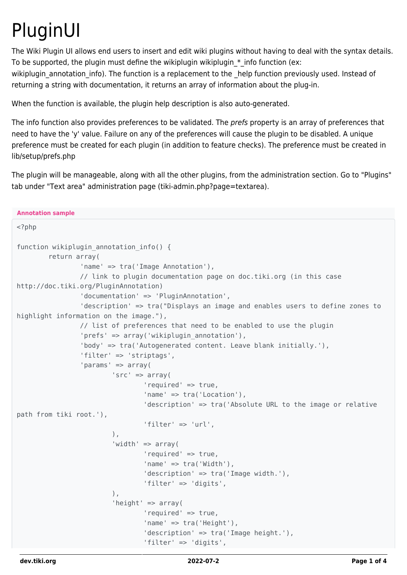## PluginUI

The Wiki Plugin UI allows end users to insert and edit wiki plugins without having to deal with the syntax details. To be supported, the plugin must define the wikiplugin wikiplugin  $*$  info function (ex: wikiplugin annotation info). The function is a replacement to the \_help function previously used. Instead of

returning a string with documentation, it returns an array of information about the plug-in.

When the function is available, the plugin help description is also auto-generated.

The info function also provides preferences to be validated. The prefs property is an array of preferences that need to have the 'y' value. Failure on any of the preferences will cause the plugin to be disabled. A unique preference must be created for each plugin (in addition to feature checks). The preference must be created in lib/setup/prefs.php

The plugin will be manageable, along with all the other plugins, from the administration section. Go to "Plugins" tab under "Text area" administration page (tiki-admin.php?page=textarea).

```
Annotation sample
<?php
function wikiplugin annotation info() {
         return array(
                  'name' => tra('Image Annotation'),
                 // link to plugin documentation page on doc.tiki.org (in this case
http://doc.tiki.org/PluginAnnotation)
                  'documentation' => 'PluginAnnotation',
                  'description' => tra("Displays an image and enables users to define zones to
highlight information on the image."),
                  // list of preferences that need to be enabled to use the plugin
                  'prefs' => array('wikiplugin_annotation'),
                  'body' => tra('Autogenerated content. Leave blank initially.'),
                  'filter' => 'striptags',
                  'params' => array(
                          'src' => array(
                                   'required' => true,
                                   'name' => tra('Location'),
                                   'description' => tra('Absolute URL to the image or relative
path from tiki root.'),
                                  'filter' \Rightarrow 'url'.
), \overline{\phantom{a}}'width' \Rightarrow array(
                                   'required' => true,
                                  'name' => tra('Width').
                                   'description' => tra('Image width.'),
                                  'filter' => 'digits',
), \overline{\phantom{a}} 'height' => array(
                                   'required' => true,
                                  'name' \Rightarrow tra('Height'),
                                   'description' => tra('Image height.'),
                                   'filter' => 'digits',
```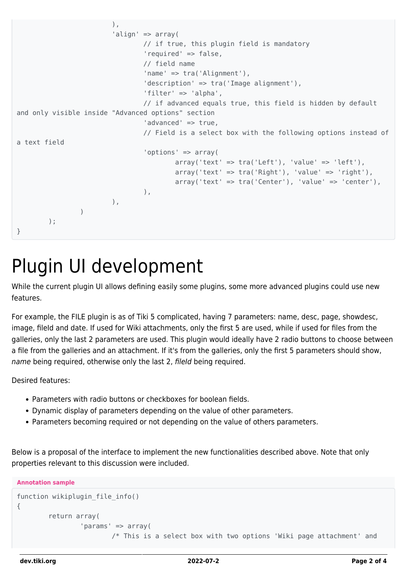```
), \overline{\phantom{a}} 'align' => array(
                               // if true, this plugin field is mandatory
                                'required' => false,
                                // field name
                                'name' => tra('Alignment'),
                                'description' => tra('Image alignment'),
                                'filter' => 'alpha',
                                // if advanced equals true, this field is hidden by default
and only visible inside "Advanced options" section
                                'advanced' => true,
                               // Field is a select box with the following options instead of
a text field
                                'options' => array(
                                      array('text' = > tra('Left'), 'value' =&>'left').array('text' = > tra('Right'), 'value' => 'right'),array('text' = > tra('Center'), 'value' => 'center'),\, ), \,), \overline{\phantom{a}}) );
}
```
## Plugin UI development

While the current plugin UI allows defining easily some plugins, some more advanced plugins could use new features.

For example, the FILE plugin is as of Tiki 5 complicated, having 7 parameters: name, desc, page, showdesc, image, fileId and date. If used for Wiki attachments, only the first 5 are used, while if used for files from the galleries, only the last 2 parameters are used. This plugin would ideally have 2 radio buttons to choose between a file from the galleries and an attachment. If it's from the galleries, only the first 5 parameters should show, name being required, otherwise only the last 2, fileld being required.

Desired features:

- Parameters with radio buttons or checkboxes for boolean fields.
- Dynamic display of parameters depending on the value of other parameters.
- Parameters becoming required or not depending on the value of others parameters.

Below is a proposal of the interface to implement the new functionalities described above. Note that only properties relevant to this discussion were included.

**Annotation sample**

```
function wikiplugin_file_info()
{
         return array(
                 'params' => array(
                          /* This is a select box with two options 'Wiki page attachment' and
```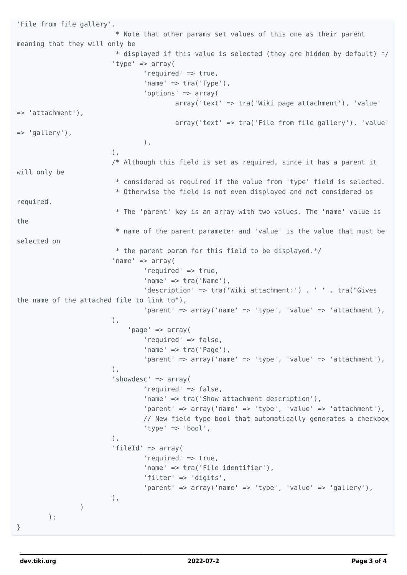```
'File from file gallery'.
                           * Note that other params set values of this one as their parent
meaning that they will only be
                          * displayed if this value is selected (they are hidden by default) */ 'type' => array(
                                  'required' => true,
                                 'name' => tra('Type'),
                                  'options' => array(
                                          array('text' => tra('Wiki page attachment'), 'value'
=> 'attachment'),
                                          array('text' => tra('File from file gallery'), 'value'
=> 'gallery'),
\, ), \,), the same state \int, the same state \int, the same state \int/* Although this field is set as required, since it has a parent it
will only be
                           * considered as required if the value from 'type' field is selected.
                           * Otherwise the field is not even displayed and not considered as
required.
                           * The 'parent' key is an array with two values. The 'name' value is
the
                           * name of the parent parameter and 'value' is the value that must be
selected on
                           * the parent param for this field to be displayed.*/
                          'name' => array(
                                  'required' => true,
                                 'name' \Rightarrow tra('Name'),
                                  'description' => tra('Wiki attachment:') . ' ' . tra("Gives
the name of the attached file to link to"),
                                  'parent' => array('name' => 'type', 'value' => 'attachment'),
), \overline{\phantom{a}} 'page' => array(
                                  'required' => false,
                                  'name' => tra('Page'),
                                 'parent' => array('name' => 'type', 'value' => 'attachment'),
), \overline{\phantom{a}} 'showdesc' => array(
                                  'required' => false,
                                  'name' => tra('Show attachment description'),
                                  'parent' => array('name' => 'type', 'value' => 'attachment'),
                                  // New field type bool that automatically generates a checkbox
                                  'type' => 'bool',
), the same state \int, the same state \int, the same state \int 'fileId' => array(
                                  'required' => true,
                                  'name' => tra('File identifier'),
                                  'filter' => 'digits',
                                 'parent' => array('name' = 'type', 'value' =&>'{gallery'},\,), \,) );
}
```